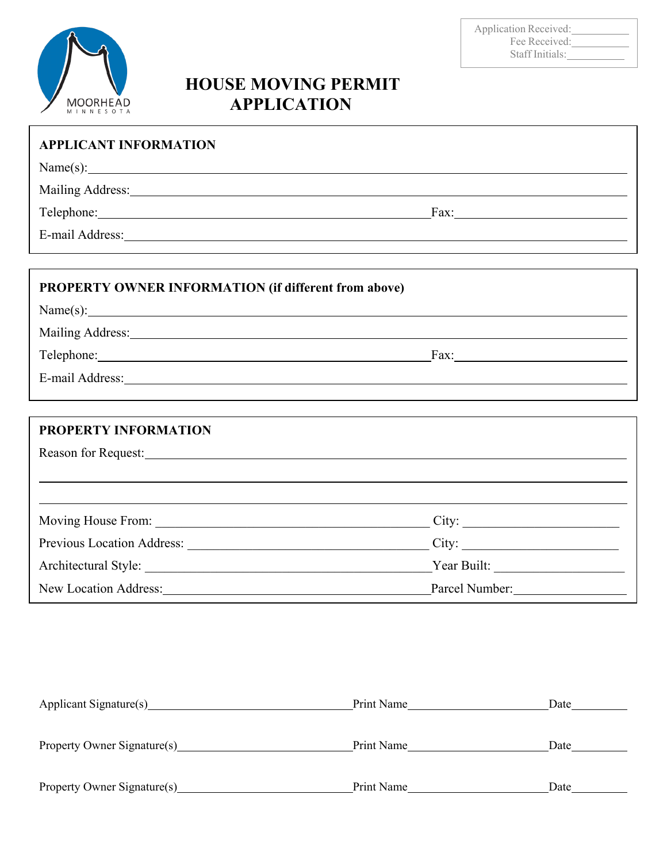

### Application Received: Fee Received: Staff Initials:

# **HOUSE MOVING PERMIT APPLICATION**

| <b>APPLICANT INFORMATION</b>                                                                                                                                                                                                   |  |
|--------------------------------------------------------------------------------------------------------------------------------------------------------------------------------------------------------------------------------|--|
|                                                                                                                                                                                                                                |  |
|                                                                                                                                                                                                                                |  |
| Telephone: Fax: Fax:                                                                                                                                                                                                           |  |
| E-mail Address: Note and Address: No. 1996. The Second State of the Second State of the Second State of the Second State of the Second State of the Second State of the Second State of the Second State of the Second State o |  |
|                                                                                                                                                                                                                                |  |
| PROPERTY OWNER INFORMATION (if different from above)                                                                                                                                                                           |  |
|                                                                                                                                                                                                                                |  |
| Mailing Address: Mailing Address:                                                                                                                                                                                              |  |
|                                                                                                                                                                                                                                |  |
| E-mail Address: Note and Address: Note and Address: Note and Address: Note and Address: Note and Address: Note and Address: Note and Address: Note and Address: Note and Address: Note and Address: Note and Address: Note and |  |
|                                                                                                                                                                                                                                |  |
| <b>PROPERTY INFORMATION</b>                                                                                                                                                                                                    |  |
|                                                                                                                                                                                                                                |  |
|                                                                                                                                                                                                                                |  |
|                                                                                                                                                                                                                                |  |
|                                                                                                                                                                                                                                |  |
|                                                                                                                                                                                                                                |  |
|                                                                                                                                                                                                                                |  |
| New Location Address: Parcel Number: Parcel Number:                                                                                                                                                                            |  |

| Applicant Signature(s)      | Print Name | Date |
|-----------------------------|------------|------|
|                             |            |      |
| Property Owner Signature(s) | Print Name | Date |
|                             |            |      |
| Property Owner Signature(s) | Print Name | Date |